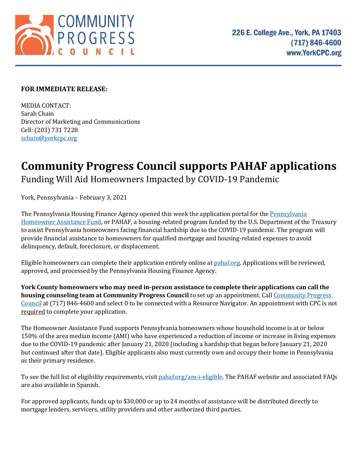

## **FOR IMMEDIATE RELEASE:**

MEDIA CONTACT: Sarah Chain Director of Marketing and Communications Cell: (203) 731 7228 [schain@yorkcpc.org](mailto:schain@yorkcpc.org)

## **Community Progress Council supports PAHAF applications** Funding Will Aid Homeowners Impacted by COVID-19 Pandemic

York, Pennsylvania – February 3, 2021

Th[e Pennsylvania](https://pahaf.org/) Housing Finance Agency opened this week the application portal for the Pennsylvania [Homeowner Assistance Fund,](https://pahaf.org/) or PAHAF, a housing-related program funded by the U.S. Department of the Treasury to assist Pennsylvania homeowners facing financial hardship due to the COVID-19 pandemic. The program will provide financial assistance to homeowners for qualified mortgage and housing-related expenses to avoid delinquency, default, foreclosure, or displacement.

Eligible homeowners can complete their application entirely online at [pahaf.org.](https://pahaf.org/) Applications will be reviewed, approved, and processed by the Pennsylvania Housing Finance Agency.

**York County homeowners who may need in-person assistance to complete their applications can call the housing counseling team at [Community Progress](https://www.yorkcpc.org/) Council** to set up an appointment. Call **Community Progress** [Council](https://www.yorkcpc.org/) at (717) 846-4600 and select 0 to be connected with a Resource Navigator. An appointment with CPC is not required to complete your application.

The Homeowner Assistance Fund supports Pennsylvania homeowners whose household income is at or below 150% of the area median income (AMI) who have experienced a reduction of income or increase in living expenses due to the COVID-19 pandemic after January 21, 2020 (including a hardship that began before January 21, 2020 but continued after that date). Eligible applicants also must currently own and occupy their home in Pennsylvania as their primary residence.

To see the full list of eligibility requirements, visi[t pahaf.org/am-i-eligible.](https://pahaf.org/am-i-eligible/) The PAHAF website and associated FAQs are also available in Spanish.

For approved applicants, funds up to \$30,000 or up to 24 months of assistance will be distributed directly to mortgage lenders, servicers, utility providers and other authorized third parties.